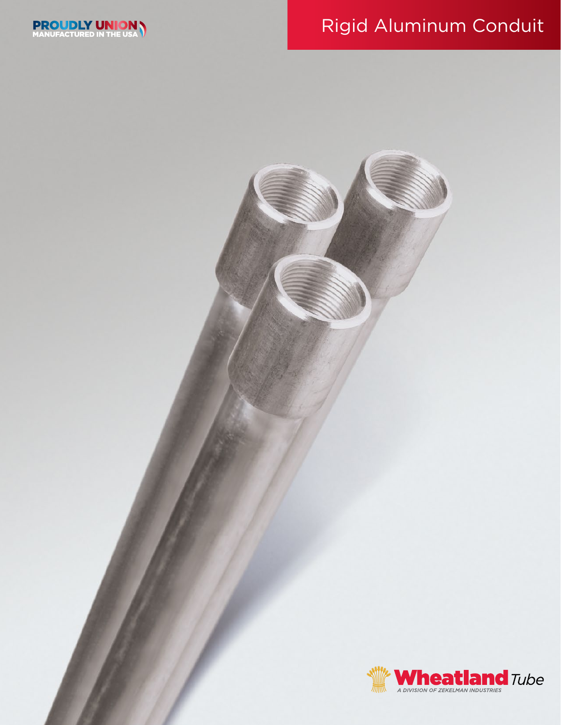# Rigid Aluminum Conduit



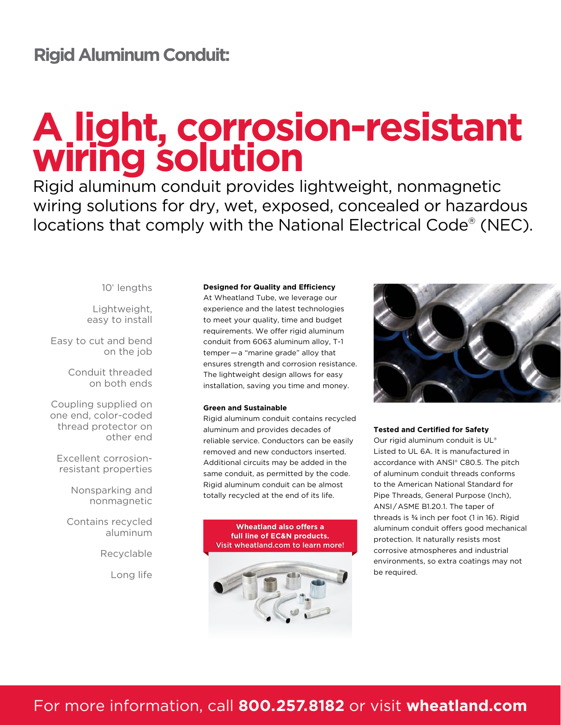# **Rigid Aluminum Conduit:**

# **A light, corrosion-resistant wiring solution**

Rigid aluminum conduit provides lightweight, nonmagnetic wiring solutions for dry, wet, exposed, concealed or hazardous locations that comply with the National Electrical Code® (NEC).

10' lengths

Lightweight, easy to install

Easy to cut and bend on the job

> Conduit threaded on both ends

Coupling supplied on one end, color-coded thread protector on other end

Excellent corrosionresistant properties

> Nonsparking and nonmagnetic

Contains recycled aluminum

Recyclable

Long life

#### **Designed for Quality and Efficiency**

At Wheatland Tube, we leverage our experience and the latest technologies to meet your quality, time and budget requirements. We offer rigid aluminum conduit from 6063 aluminum alloy, T-1 temper — a "marine grade" alloy that ensures strength and corrosion resistance. The lightweight design allows for easy installation, saving you time and money.

#### **Green and Sustainable**

Rigid aluminum conduit contains recycled aluminum and provides decades of reliable service. Conductors can be easily removed and new conductors inserted. Additional circuits may be added in the same conduit, as permitted by the code. Rigid aluminum conduit can be almost totally recycled at the end of its life.

#### **Wheatland also offers a full line of EC&N products.** Visit wheatland.com to learn more!





#### **Tested and Certified for Safety**

Our rigid aluminum conduit is UL® Listed to UL 6A. It is manufactured in accordance with ANSI® C80.5. The pitch of aluminum conduit threads conforms to the American National Standard for Pipe Threads, General Purpose (Inch), ANSI / ASME B1.20.1. The taper of threads is ¾ inch per foot (1 in 16). Rigid aluminum conduit offers good mechanical protection. It naturally resists most corrosive atmospheres and industrial environments, so extra coatings may not be required.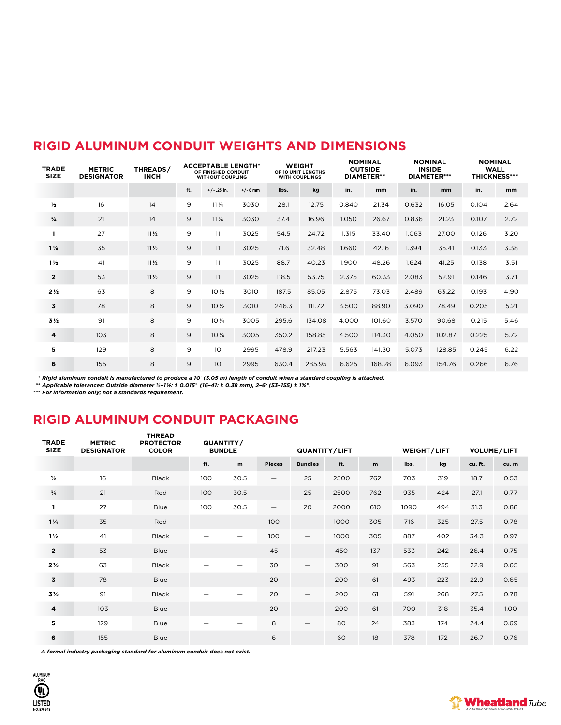| <b>TRADE</b><br><b>SIZE</b> | <b>METRIC</b><br><b>DESIGNATOR</b> | THREADS/<br><b>INCH</b> | <b>ACCEPTABLE LENGTH*</b><br>OF FINISHED CONDUIT<br><b>WITHOUT COUPLING</b> |                   |            | <b>WEIGHT</b><br>OF 10 UNIT LENGTHS<br><b>WITH COUPLINGS</b> |        | <b>NOMINAL</b><br><b>OUTSIDE</b><br><b>DIAMETER**</b> |        | <b>NOMINAL</b><br><b>INSIDE</b><br><b>DIAMETER***</b> |        | <b>NOMINAL</b><br><b>WALL</b><br><b>THICKNESS***</b> |      |
|-----------------------------|------------------------------------|-------------------------|-----------------------------------------------------------------------------|-------------------|------------|--------------------------------------------------------------|--------|-------------------------------------------------------|--------|-------------------------------------------------------|--------|------------------------------------------------------|------|
|                             |                                    |                         | ft.                                                                         | $+/-$ .25 in.     | $+/- 6$ mm | Ibs.                                                         | kg     | in.                                                   | mm     | in.                                                   | mm     | in.                                                  | mm   |
| $\frac{1}{2}$               | 16                                 | 14                      | 9                                                                           | $11\frac{1}{4}$   | 3030       | 28.1                                                         | 12.75  | 0.840                                                 | 21.34  | 0.632                                                 | 16.05  | 0.104                                                | 2.64 |
| $\frac{3}{4}$               | 21                                 | 14                      | 9                                                                           | $11\frac{1}{4}$   | 3030       | 37.4                                                         | 16.96  | 1.050                                                 | 26.67  | 0.836                                                 | 21.23  | 0.107                                                | 2.72 |
| -1                          | 27                                 | $11\frac{1}{2}$         | 9                                                                           | 11                | 3025       | 54.5                                                         | 24.72  | 1.315                                                 | 33.40  | 1.063                                                 | 27.00  | 0.126                                                | 3.20 |
| $1\frac{1}{4}$              | 35                                 | $11\frac{1}{2}$         | 9                                                                           | 11                | 3025       | 71.6                                                         | 32.48  | 1.660                                                 | 42.16  | 1.394                                                 | 35.41  | 0.133                                                | 3.38 |
| $1\frac{1}{2}$              | 41                                 | $11\frac{1}{2}$         | 9                                                                           | 11                | 3025       | 88.7                                                         | 40.23  | 1.900                                                 | 48.26  | 1.624                                                 | 41.25  | 0.138                                                | 3.51 |
| $\overline{2}$              | 53                                 | $11\frac{1}{2}$         | 9                                                                           | 11                | 3025       | 118.5                                                        | 53.75  | 2.375                                                 | 60.33  | 2.083                                                 | 52.91  | 0.146                                                | 3.71 |
| $2\frac{1}{2}$              | 63                                 | 8                       | 9                                                                           | $10\frac{1}{2}$   | 3010       | 187.5                                                        | 85.05  | 2.875                                                 | 73.03  | 2.489                                                 | 63.22  | 0.193                                                | 4.90 |
| 3                           | 78                                 | 8                       | 9                                                                           | $10\frac{1}{2}$   | 3010       | 246.3                                                        | 111.72 | 3.500                                                 | 88.90  | 3.090                                                 | 78.49  | 0.205                                                | 5.21 |
| 3½                          | 91                                 | 8                       | 9                                                                           | $10\,\frac{1}{4}$ | 3005       | 295.6                                                        | 134.08 | 4.000                                                 | 101.60 | 3.570                                                 | 90.68  | 0.215                                                | 5.46 |
| 4                           | 103                                | 8                       | 9                                                                           | $10\frac{1}{4}$   | 3005       | 350.2                                                        | 158.85 | 4.500                                                 | 114.30 | 4.050                                                 | 102.87 | 0.225                                                | 5.72 |
| 5                           | 129                                | 8                       | 9                                                                           | 10                | 2995       | 478.9                                                        | 217.23 | 5.563                                                 | 141.30 | 5.073                                                 | 128.85 | 0.245                                                | 6.22 |
| 6                           | 155                                | 8                       | 9                                                                           | 10 <sup>°</sup>   | 2995       | 630.4                                                        | 285.95 | 6.625                                                 | 168.28 | 6.093                                                 | 154.76 | 0.266                                                | 6.76 |

## **RIGID ALUMINUM CONDUIT WEIGHTS AND DIMENSIONS**

\* Rigid aluminum conduit is manufactured to produce a 10' (3.05 m) length of conduit when a standard coupling is attached.<br>\*\* Applicable tolerances: Outside diameter ½-1½: ± 0.015" (16-41: ± 0.38 mm), 2-6: (53-155) ± 1%".<br>

## **RIGID ALUMINUM CONDUIT PACKAGING**

**THREAD** 

| <b>TRADE</b><br><b>SIZE</b> | <b>METRIC</b><br><b>DESIGNATOR</b> | <b>IHREAD</b><br><b>PROTECTOR</b><br><b>COLOR</b> |                          | QUANTITY/<br><b>BUNDLE</b> |                          | QUANTITY/LIFT            |      |     | WEIGHT/LIFT |     | <b>VOLUME/LIFT</b> |      |
|-----------------------------|------------------------------------|---------------------------------------------------|--------------------------|----------------------------|--------------------------|--------------------------|------|-----|-------------|-----|--------------------|------|
|                             |                                    |                                                   | ft.                      | m                          | <b>Pieces</b>            | <b>Bundles</b>           | ft.  | m   | Ibs.        | kg  | cu. ft.            | cu.m |
| $\frac{1}{2}$               | 16                                 | <b>Black</b>                                      | 100                      | 30.5                       | $\overline{\phantom{m}}$ | 25                       | 2500 | 762 | 703         | 319 | 18.7               | 0.53 |
| $^{3}/_{4}$                 | 21                                 | Red                                               | 100                      | 30.5                       | $\overline{\phantom{m}}$ | 25                       | 2500 | 762 | 935         | 424 | 27.1               | 0.77 |
| 1                           | 27                                 | Blue                                              | 100                      | 30.5                       | $\qquad \qquad -$        | 20                       | 2000 | 610 | 1090        | 494 | 31.3               | 0.88 |
| $1\frac{1}{4}$              | 35                                 | Red                                               |                          | —                          | 100                      | $\overline{\phantom{m}}$ | 1000 | 305 | 716         | 325 | 27.5               | 0.78 |
| $1\frac{1}{2}$              | 41                                 | <b>Black</b>                                      |                          |                            | 100                      | $\overline{\phantom{m}}$ | 1000 | 305 | 887         | 402 | 34.3               | 0.97 |
| $\overline{2}$              | 53                                 | Blue                                              |                          | —                          | 45                       | $\overline{\phantom{m}}$ | 450  | 137 | 533         | 242 | 26.4               | 0.75 |
| $2\frac{1}{2}$              | 63                                 | <b>Black</b>                                      |                          | $\overline{\phantom{0}}$   | 30                       | $\overline{\phantom{m}}$ | 300  | 91  | 563         | 255 | 22.9               | 0.65 |
| 3                           | 78                                 | Blue                                              | $\overline{\phantom{0}}$ | $\overline{\phantom{0}}$   | 20                       | $\overline{\phantom{m}}$ | 200  | 61  | 493         | 223 | 22.9               | 0.65 |
| 3½                          | 91                                 | <b>Black</b>                                      |                          | $\overline{\phantom{0}}$   | 20                       | $\qquad \qquad -$        | 200  | 61  | 591         | 268 | 27.5               | 0.78 |
| $\overline{\mathbf{4}}$     | 103                                | <b>Blue</b>                                       |                          |                            | 20                       | $\qquad \qquad -$        | 200  | 61  | 700         | 318 | 35.4               | 1.00 |
| 5                           | 129                                | Blue                                              |                          |                            | 8                        | $\overline{\phantom{m}}$ | 80   | 24  | 383         | 174 | 24.4               | 0.69 |
| 6                           | 155                                | Blue                                              |                          |                            | 6                        | $\overline{\phantom{m}}$ | 60   | 18  | 378         | 172 | 26.7               | 0.76 |

 *A formal industry packaging standard for aluminum conduit does not exist.*